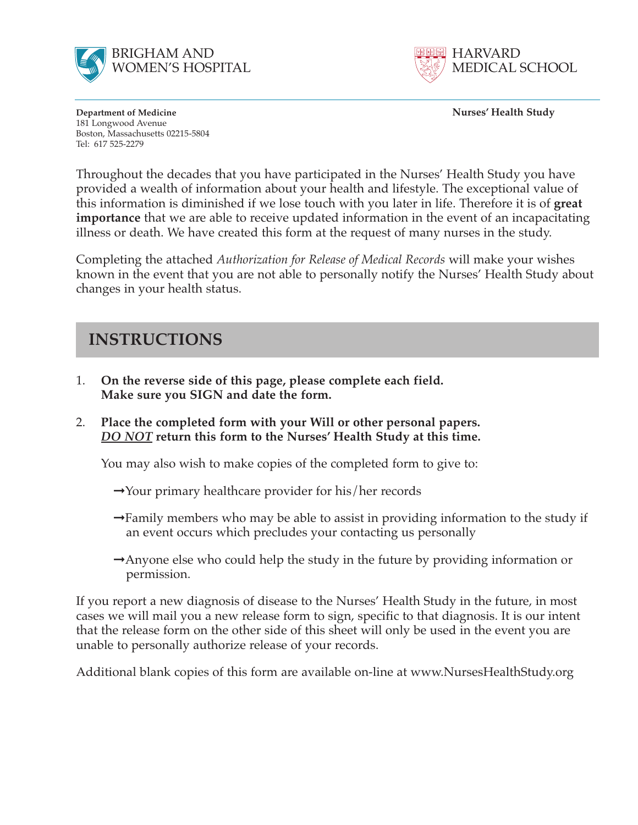



**Department of Medicine Nurses' Health Study** 181 Longwood Avenue Boston, Massachusetts 02215-5804 Tel: 617 525-2279

Throughout the decades that you have participated in the Nurses' Health Study you have provided a wealth of information about your health and lifestyle. The exceptional value of this information is diminished if we lose touch with you later in life. Therefore it is of **great importance** that we are able to receive updated information in the event of an incapacitating illness or death. We have created this form at the request of many nurses in the study.

Completing the attached *Authorization for Release of Medical Records* will make your wishes known in the event that you are not able to personally notify the Nurses' Health Study about changes in your health status.

## **INSTRUCTIONS**

- 1. **On the reverse side of this page, please complete each field. Make sure you SIGN and date the form.**
- 2. **Place the completed form with your Will or other personal papers.**  *DO NOT* **return this form to the Nurses' Health Study at this time.**

You may also wish to make copies of the completed form to give to:

- **➞**Your primary healthcare provider for his/her records
- **➞**Family members who may be able to assist in providing information to the study if an event occurs which precludes your contacting us personally
- **➞**Anyone else who could help the study in the future by providing information or permission.

If you report a new diagnosis of disease to the Nurses' Health Study in the future, in most cases we will mail you a new release form to sign, specific to that diagnosis. It is our intent that the release form on the other side of this sheet will only be used in the event you are unable to personally authorize release of your records.

Additional blank copies of this form are available on-line at www.NursesHealthStudy.org